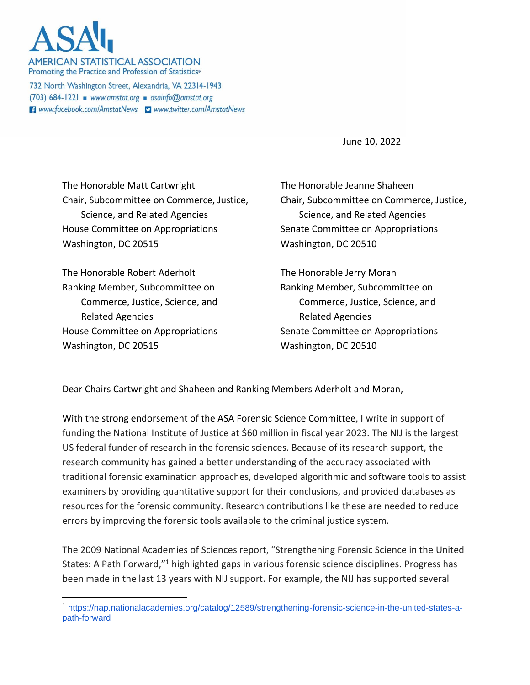**AMERICAN STATISTICAL ASSOCIATION** Promoting the Practice and Profession of Statistics®

732 North Washington Street, Alexandria, VA 22314-1943  $(703)$  684-1221 www.amstat.org asainfo@amstat.org **El** www.facebook.com/AmstatNews v www.twitter.com/AmstatNews

June 10, 2022

The Honorable Matt Cartwright Chair, Subcommittee on Commerce, Justice, Science, and Related Agencies House Committee on Appropriations Washington, DC 20515

The Honorable Robert Aderholt Ranking Member, Subcommittee on Commerce, Justice, Science, and Related Agencies House Committee on Appropriations Washington, DC 20515

The Honorable Jeanne Shaheen Chair, Subcommittee on Commerce, Justice, Science, and Related Agencies Senate Committee on Appropriations Washington, DC 20510

The Honorable Jerry Moran Ranking Member, Subcommittee on Commerce, Justice, Science, and Related Agencies Senate Committee on Appropriations Washington, DC 20510

Dear Chairs Cartwright and Shaheen and Ranking Members Aderholt and Moran,

With the strong endorsement of the ASA Forensic Science Committee, I write in support of funding the National Institute of Justice at \$60 million in fiscal year 2023. The NIJ is the largest US federal funder of research in the forensic sciences. Because of its research support, the research community has gained a better understanding of the accuracy associated with traditional forensic examination approaches, developed algorithmic and software tools to assist examiners by providing quantitative support for their conclusions, and provided databases as resources for the forensic community. Research contributions like these are needed to reduce errors by improving the forensic tools available to the criminal justice system.

The 2009 National Academies of Sciences report, "Strengthening Forensic Science in the United States: A Path Forward,"<sup>1</sup> highlighted gaps in various forensic science disciplines. Progress has been made in the last 13 years with NIJ support. For example, the NIJ has supported several

<sup>1</sup> [https://nap.nationalacademies.org/catalog/12589/strengthening-forensic-science-in-the-united-states-a](https://nap.nationalacademies.org/catalog/12589/strengthening-forensic-science-in-the-united-states-a-path-forward)[path-forward](https://nap.nationalacademies.org/catalog/12589/strengthening-forensic-science-in-the-united-states-a-path-forward)